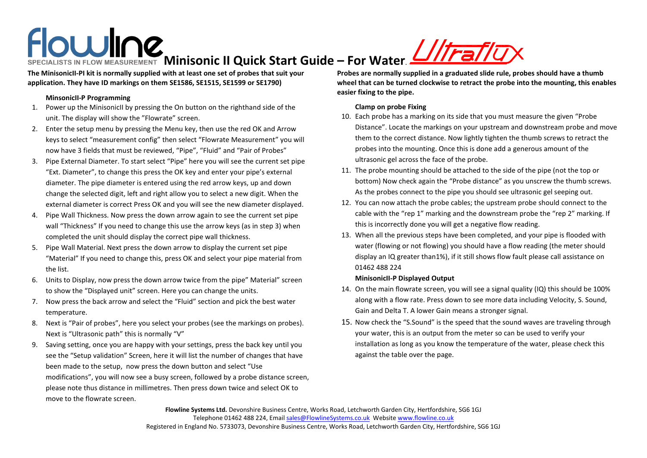# **Minisonic II Quick Start Guide – For Water**.

**The MinisonicII-PI kit is normally supplied with at least one set of probes that suit your application. They have ID markings on them SE1586, SE1515, SE1599 or SE1790)** 

## **MinsonicII-P Programming**

- 1. Power up the MinisonicII by pressing the On button on the righthand side of the unit. The display will show the "Flowrate" screen.
- 2. Enter the setup menu by pressing the Menu key, then use the red OK and Arrow keys to select "measurement config" then select "Flowrate Measurement" you will now have 3 fields that must be reviewed, "Pipe", "Fluid" and "Pair of Probes"
- 3. Pipe External Diameter. To start select "Pipe" here you will see the current set pipe "Ext. Diameter", to change this press the OK key and enter your pipe's external diameter. The pipe diameter is entered using the red arrow keys, up and down change the selected digit, left and right allow you to select a new digit. When the external diameter is correct Press OK and you will see the new diameter displayed.
- 4. Pipe Wall Thickness. Now press the down arrow again to see the current set pipe wall "Thickness" If you need to change this use the arrow keys (as in step 3) when completed the unit should display the correct pipe wall thickness.
- 5. Pipe Wall Material. Next press the down arrow to display the current set pipe "Material" If you need to change this, press OK and select your pipe material from the list.
- 6. Units to Display, now press the down arrow twice from the pipe" Material" screen to show the "Displayed unit" screen. Here you can change the units.
- 7. Now press the back arrow and select the "Fluid" section and pick the best water temperature.
- 8. Next is "Pair of probes", here you select your probes (see the markings on probes). Next is "Ultrasonic path" this is normally "V"
- 9. Saving setting, once you are happy with your settings, press the back key until you see the "Setup validation" Screen, here it will list the number of changes that have been made to the setup, now press the down button and select "Use modifications", you will now see a busy screen, followed by a probe distance screen, please note thus distance in millimetres. Then press down twice and select OK to move to the flowrate screen.

**Probes are normally supplied in a graduated slide rule, probes should have a thumb wheel that can be turned clockwise to retract the probe into the mounting, this enables easier fixing to the pipe.**

#### **Clamp on probe Fixing**

- 10. Each probe has a marking on its side that you must measure the given "Probe Distance". Locate the markings on your upstream and downstream probe and move them to the correct distance. Now lightly tighten the thumb screws to retract the probes into the mounting. Once this is done add a generous amount of the ultrasonic gel across the face of the probe.
- 11. The probe mounting should be attached to the side of the pipe (not the top or bottom) Now check again the "Probe distance" as you unscrew the thumb screws. As the probes connect to the pipe you should see ultrasonic gel seeping out.
- 12. You can now attach the probe cables; the upstream probe should connect to the cable with the "rep 1" marking and the downstream probe the "rep 2" marking. If this is incorrectly done you will get a negative flow reading.
- 13. When all the previous steps have been completed, and your pipe is flooded with water (flowing or not flowing) you should have a flow reading (the meter should display an IQ greater than1%), if it still shows flow fault please call assistance on 01462 488 224

## **MinisonicII-P Displayed Output**

- 14. On the main flowrate screen, you will see a signal quality (IQ) this should be 100% along with a flow rate. Press down to see more data including Velocity, S. Sound, Gain and Delta T. A lower Gain means a stronger signal.
- 15. Now check the "S.Sound" is the speed that the sound waves are traveling through your water, this is an output from the meter so can be used to verify your installation as long as you know the temperature of the water, please check this against the table over the page.

**Flowline Systems Ltd.** Devonshire Business Centre, Works Road, Letchworth Garden City, Hertfordshire, SG6 1GJ Telephone 01462 488 224, Email [sales@FlowlineSystems.co.uk](mailto:sales@FlowlineSystems.co.uk) Websit[e www.flowline.co.uk](http://www.flowline.co.uk/) Registered in England No. 5733073, Devonshire Business Centre, Works Road, Letchworth Garden City, Hertfordshire, SG6 1GJ